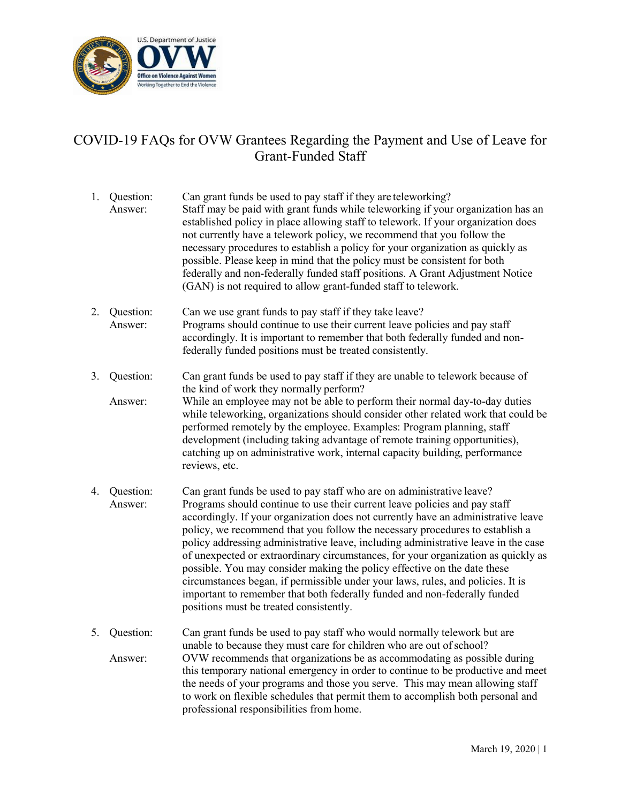

## COVID-19 FAQs for OVW Grantees Regarding the Payment and Use of Leave for Grant-Funded Staff

- 1. Question: Can grant funds be used to pay staff if they are teleworking? Answer: Staff may be paid with grant funds while teleworking if your organization has an established policy in place allowing staff to telework. If your organization does not currently have a telework policy, we recommend that you follow the necessary procedures to establish a policy for your organization as quickly as possible. Please keep in mind that the policy must be consistent for both federally and non-federally funded staff positions. A Grant Adjustment Notice (GAN) is not required to allow grant-funded staff to telework.
- 2. Question: Can we use grant funds to pay staff if they take leave? Answer: Programs should continue to use their current leave policies and pay staff accordingly. It is important to remember that both federally funded and nonfederally funded positions must be treated consistently.
- 3. Question: Can grant funds be used to pay staff if they are unable to telework because of the kind of work they normally perform?

Answer: While an employee may not be able to perform their normal day-to-day duties while teleworking, organizations should consider other related work that could be performed remotely by the employee. Examples: Program planning, staff development (including taking advantage of remote training opportunities), catching up on administrative work, internal capacity building, performance reviews, etc.

- 4. Question: Can grant funds be used to pay staff who are on administrative leave? Answer: Programs should continue to use their current leave policies and pay staff accordingly. If your organization does not currently have an administrative leave policy, we recommend that you follow the necessary procedures to establish a policy addressing administrative leave, including administrative leave in the case of unexpected or extraordinary circumstances, for your organization as quickly as possible. You may consider making the policy effective on the date these circumstances began, if permissible under your laws, rules, and policies. It is important to remember that both federally funded and non-federally funded positions must be treated consistently.
- 5. Question: Can grant funds be used to pay staff who would normally telework but are unable to because they must care for children who are out of school? Answer: OVW recommends that organizations be as accommodating as possible during this temporary national emergency in order to continue to be productive and meet the needs of your programs and those you serve. This may mean allowing staff to work on flexible schedules that permit them to accomplish both personal and professional responsibilities from home.